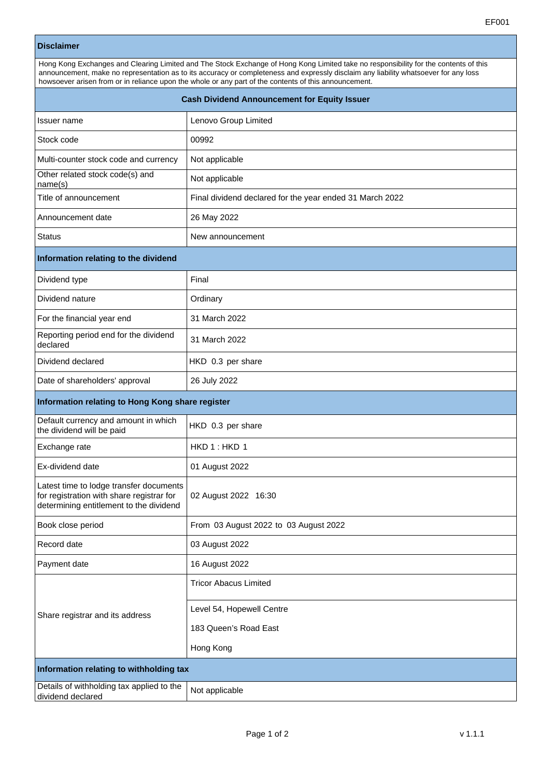|                                                                   | EF001                                                                                                                                                                                                                                                                                                                                                                                 |
|-------------------------------------------------------------------|---------------------------------------------------------------------------------------------------------------------------------------------------------------------------------------------------------------------------------------------------------------------------------------------------------------------------------------------------------------------------------------|
| <b>Disclaimer</b>                                                 |                                                                                                                                                                                                                                                                                                                                                                                       |
|                                                                   | Hong Kong Exchanges and Clearing Limited and The Stock Exchange of Hong Kong Limited take no responsibility for the contents of this<br>announcement, make no representation as to its accuracy or completeness and expressly disclaim any liability whatsoever for any loss<br>howsoever arisen from or in reliance upon the whole or any part of the contents of this announcement. |
|                                                                   | <b>Cash Dividend Announcement for Equity Issuer</b>                                                                                                                                                                                                                                                                                                                                   |
| Issuer name                                                       | Lenovo Group Limited                                                                                                                                                                                                                                                                                                                                                                  |
| Stock code                                                        | 00992                                                                                                                                                                                                                                                                                                                                                                                 |
| Multi-counter stock code and currency                             | Not applicable                                                                                                                                                                                                                                                                                                                                                                        |
| Other related stock code(s) and<br>name(s)                        | Not applicable                                                                                                                                                                                                                                                                                                                                                                        |
| Title of announcement                                             | Final dividend declared for the year ended 31 March 2022                                                                                                                                                                                                                                                                                                                              |
| Announcement date                                                 | 26 May 2022                                                                                                                                                                                                                                                                                                                                                                           |
| Status                                                            | New announcement                                                                                                                                                                                                                                                                                                                                                                      |
| Information relating to the dividend                              |                                                                                                                                                                                                                                                                                                                                                                                       |
| Dividend type                                                     | Final                                                                                                                                                                                                                                                                                                                                                                                 |
| Dividend nature                                                   | Ordinary                                                                                                                                                                                                                                                                                                                                                                              |
| For the financial year end                                        | 31 March 2022                                                                                                                                                                                                                                                                                                                                                                         |
| Reporting period end for the dividend<br>declared                 | 31 March 2022                                                                                                                                                                                                                                                                                                                                                                         |
| Dividend declared                                                 | HKD 0.3 per share                                                                                                                                                                                                                                                                                                                                                                     |
| Date of shareholders' approval                                    | 26 July 2022                                                                                                                                                                                                                                                                                                                                                                          |
| Information relating to Hong Kong share register                  |                                                                                                                                                                                                                                                                                                                                                                                       |
| Default currency and amount in which<br>the dividend will be paid | HKD 0.3 per share                                                                                                                                                                                                                                                                                                                                                                     |
| Exchange rate                                                     | HKD 1 : HKD 1                                                                                                                                                                                                                                                                                                                                                                         |
| Ex-dividend date                                                  | 01 August 2022                                                                                                                                                                                                                                                                                                                                                                        |

02 August 2022 16:30

Tricor Abacus Limited

Level 54, Hopewell Centre

183 Queen's Road East

Hong Kong

Book close period **From 03 August 2022 to 03 August 2022** 

Latest time to lodge transfer documents for registration with share registrar for determining entitlement to the dividend

Share registrar and its address

**Information relating to withholding tax** Details of withholding tax applied to the

Record date **12 August 2022** 

Payment date 16 August 2022

Details of withholding tax applied to the  $\vert$  Not applicable<br>dividend declared